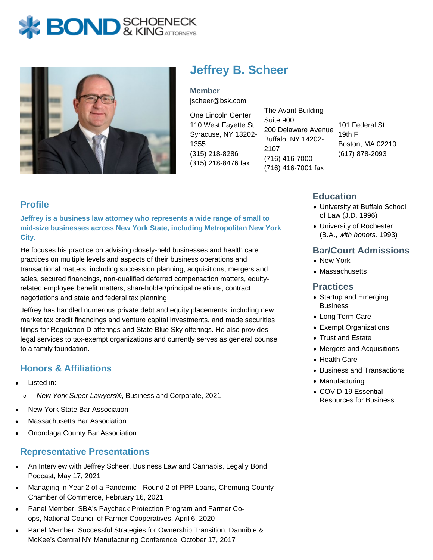



# **Jeffrey B. Scheer**

**Member** jscheer@bsk.com

One Lincoln Center 110 West Fayette St Syracuse, NY 13202- 1355 (315) 218-8286 (315) 218-8476 fax

The Avant Building - Suite 900 200 Delaware Avenue Buffalo, NY 14202- 2107 (716) 416-7000 (716) 416-7001 fax

101 Federal St 19th Fl Boston, MA 02210 (617) 878-2093

## **Profile**

**Jeffrey is a business law attorney who represents a wide range of small to mid-size businesses across New York State, including Metropolitan New York City.**

He focuses his practice on advising closely-held businesses and health care practices on multiple levels and aspects of their business operations and transactional matters, including succession planning, acquisitions, mergers and sales, secured financings, non-qualified deferred compensation matters, equityrelated employee benefit matters, shareholder/principal relations, contract negotiations and state and federal tax planning.

Jeffrey has handled numerous private debt and equity placements, including new market tax credit financings and venture capital investments, and made securities filings for Regulation D offerings and State Blue Sky offerings. He also provides legal services to tax-exempt organizations and currently serves as general counsel to a family foundation.

# **Honors & Affiliations**

- Listed in:
	- New York Super Lawyers®, Business and Corporate, 2021  $\circ$
- New York State Bar Association
- Massachusetts Bar Association
- Onondaga County Bar Association

#### **Representative Presentations**

- An Interview with Jeffrey Scheer, Business Law and Cannabis, Legally Bond Podcast, May 17, 2021
- Managing in Year 2 of a Pandemic Round 2 of PPP Loans, Chemung County Chamber of Commerce, February 16, 2021
- Panel Member, SBA's Paycheck Protection Program and Farmer Coops, National Council of Farmer Cooperatives, April 6, 2020
- Panel Member, Successful Strategies for Ownership Transition, Dannible & McKee's Central NY Manufacturing Conference, October 17, 2017

### **Education**

- University at Buffalo School of Law (J.D. 1996)
- University of Rochester (B.A., with honors, 1993)

### **Bar/Court Admissions**

- New York
- Massachusetts

#### **Practices**

- Startup and Emerging **Business**
- Long Term Care
- Exempt Organizations
- Trust and Estate
- Mergers and Acquisitions
- Health Care
- Business and Transactions
- Manufacturing
- COVID-19 Essential Resources for Business